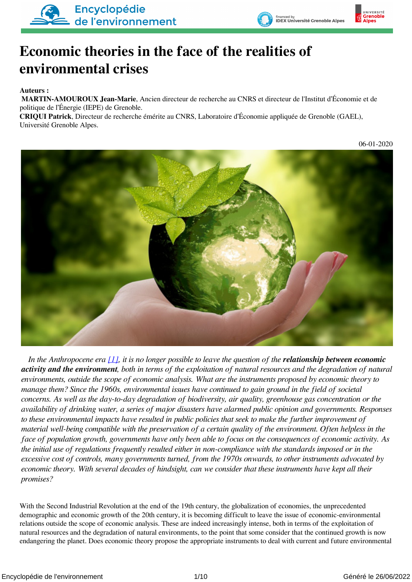

# **Economic theories in the face of the realities of environmental crises**

#### **Auteurs :**

 **MARTIN-AMOUROUX Jean-Marie**, Ancien directeur de recherche au CNRS et directeur de l'Institut d'Économie et de politique de l'Énergie (IEPE) de Grenoble.

**CRIQUI Patrick**, Directeur de recherche émérite au CNRS, Laboratoire d'Économie appliquée de Grenoble (GAEL), Université Grenoble Alpes.



<span id="page-0-0"></span>*In the Anthropocene era [\[1\]](#page-7-0)*, *it is no longer possible to leave the question of the relationship between economic activity and the environment, both in terms of the exploitation of natural resources and the degradation of natural environments, outside the scope of economic analysis. What are the instruments proposed by economic theory to manage them? Since the 1960s, environmental issues have continued to gain ground in the field of societal concerns. As well as the day-to-day degradation of biodiversity, air quality, greenhouse gas concentration or the availability of drinking water, a series of major disasters have alarmed public opinion and governments. Responses to these environmental impacts have resulted in public policies that seek to make the further improvement of material well-being compatible with the preservation of a certain quality of the environment. Often helpless in the face of population growth, governments have only been able to focus on the consequences of economic activity. As the initial use of regulations frequently resulted either in non-compliance with the standards imposed or in the excessive cost of controls, many governments turned, from the 1970s onwards, to other instruments advocated by economic theory. With several decades of hindsight, can we consider that these instruments have kept all their promises?*

With the Second Industrial Revolution at the end of the 19th century, the globalization of economies, the unprecedented demographic and economic growth of the 20th century, it is becoming difficult to leave the issue of economic-environmental relations outside the scope of economic analysis. These are indeed increasingly intense, both in terms of the exploitation of natural resources and the degradation of natural environments, to the point that some consider that the continued growth is now endangering the planet. Does economic theory propose the appropriate instruments to deal with current and future environmental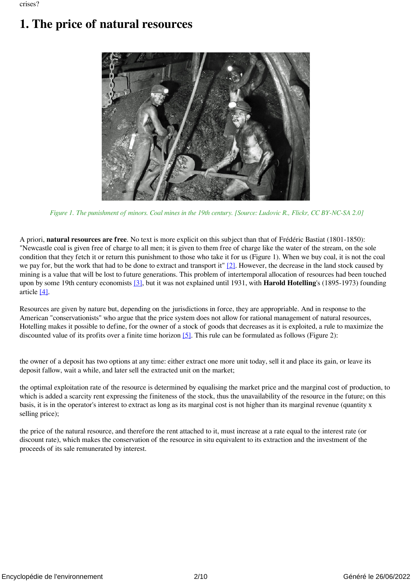## **1. The price of natural resources**



 *Figure 1. The punishment of minors. Coal mines in the 19th century. [Source: Ludovic R., Flickr, CC BY-NC-SA 2.0]*

<span id="page-1-0"></span>A priori, **natural resources are free**. No text is more explicit on this subject than that of Frédéric Bastiat (1801-1850): "Newcastle coal is given free of charge to all men; it is given to them free of charge like the water of the stream, on the sole condition that they fetch it or return this punishment to those who take it for us (Figure 1). When we buy coal, it is not the coal we pay for, but the work that had to be done to extract and transport it"  $[2]$ . However, the decrease in the land stock caused by mining is a value that will be lost to future generations. This problem of intertemporal allocation of resources had been touched upon by some 19th century economists [\[3\]](#page-7-2), but it was not explained until 1931, with **Harold Hotelling**'s (1895-1973) founding article [\[4\]](#page-8-0).

<span id="page-1-3"></span><span id="page-1-2"></span><span id="page-1-1"></span>Resources are given by nature but, depending on the jurisdictions in force, they are appropriable. And in response to the American "conservationists" who argue that the price system does not allow for rational management of natural resources, Hotelling makes it possible to define, for the owner of a stock of goods that decreases as it is exploited, a rule to maximize the discounted value of its profits over a finite time horizon  $[5]$ . This rule can be formulated as follows (Figure 2):

the owner of a deposit has two options at any time: either extract one more unit today, sell it and place its gain, or leave its deposit fallow, wait a while, and later sell the extracted unit on the market;

the optimal exploitation rate of the resource is determined by equalising the market price and the marginal cost of production, to which is added a scarcity rent expressing the finiteness of the stock, thus the unavailability of the resource in the future; on this basis, it is in the operator's interest to extract as long as its marginal cost is not higher than its marginal revenue (quantity x selling price);

the price of the natural resource, and therefore the rent attached to it, must increase at a rate equal to the interest rate (or discount rate), which makes the conservation of the resource in situ equivalent to its extraction and the investment of the proceeds of its sale remunerated by interest.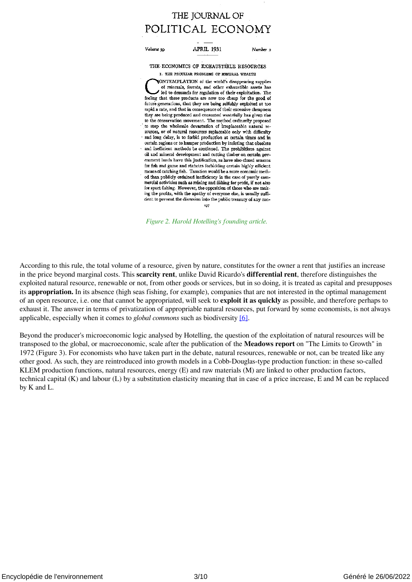#### THE JOURNAL OF POLITICAL ECONOMY

Volume 30 **APRIL 1931** Number<sub>2</sub>

THE ECONOMICS OF EXHAUSTIBLE RESOURCES I. THE PECULIAR PROBLEMS OF MINERAL WEALTH

(ONTEMPLATION of the world's disappearing supplies of minerals, forests, and other exhaustible assets has led to demands for regulation of their exploitation. The feeling that these products are now too cheap for the good of future generations, that they are being selfishly exploited at too rapid a rate, and that in consequence of their excessive cheapness they are being produced and consumed wastefully has given rise to the conservation movement. The method ordinarily proposed to stop the wholesale devastation of irreplaceable natural resources, or of natural resources replaceable only with difficulty and long delay, is to forbid production at certain times and in certain regions or to hamper production by insisting that obsolete and inefficient methods be continued. The prohibitions against oil and mineral development and cutting timber on certain government lands have this justification, as have also closed seasons for fish and game and statutes forbidding certain highly efficient means of catching fish. Taxation would be a more economic method than publicly ordained inefficiency in the case of purely commercial activities such as mining and fishing for profit, if not also for sport fishing. However, the opposition of those who are making the profits, with the apathy of everyone else, is usually sufficient to prevent the diversion into the public treasury of any con-

 *Figure 2. Harold Hotelling's founding article.*

According to this rule, the total volume of a resource, given by nature, constitutes for the owner a rent that justifies an increase in the price beyond marginal costs. This **scarcity rent**, unlike David Ricardo's **differential rent**, therefore distinguishes the exploited natural resource, renewable or not, from other goods or services, but in so doing, it is treated as capital and presupposes its **appropriation.** In its absence (high seas fishing, for example), companies that are not interested in the optimal management of an open resource, i.e. one that cannot be appropriated, will seek to **exploit it as quickly** as possible, and therefore perhaps to exhaust it. The answer in terms of privatization of appropriable natural resources, put forward by some economists, is not always applicable, especially when it comes to *global commons* such as biodiversity [\[6\]](#page-8-2).

<span id="page-2-0"></span>Beyond the producer's microeconomic logic analysed by Hotelling, the question of the exploitation of natural resources will be transposed to the global, or macroeconomic, scale after the publication of the **Meadows report** on "The Limits to Growth" in 1972 (Figure 3). For economists who have taken part in the debate, natural resources, renewable or not, can be treated like any other good. As such, they are reintroduced into growth models in a Cobb-Douglas-type production function: in these so-called KLEM production functions, natural resources, energy (E) and raw materials (M) are linked to other production factors, technical capital (K) and labour (L) by a substitution elasticity meaning that in case of a price increase, E and M can be replaced by K and L.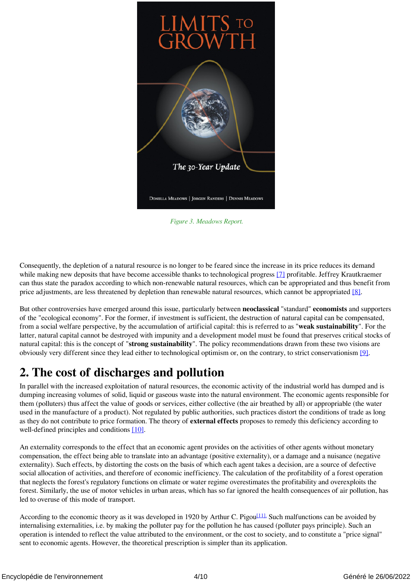

 *Figure 3. Meadows Report.*

<span id="page-3-0"></span>Consequently, the depletion of a natural resource is no longer to be feared since the increase in its price reduces its demand while making new deposits that have become accessible thanks to technological progress [\[7\]](#page-8-3) profitable. Jeffrey Krautkraemer can thus state the paradox according to which non-renewable natural resources, which can be appropriated and thus benefit from price adjustments, are less threatened by depletion than renewable natural resources, which cannot be appropriated [\[8\]](#page-8-4).

<span id="page-3-1"></span>But other controversies have emerged around this issue, particularly between **neoclassical** "standard" **economists** and supporters of the "ecological economy". For the former, if investment is sufficient, the destruction of natural capital can be compensated, from a social welfare perspective, by the accumulation of artificial capital: this is referred to as "**weak sustainability**". For the latter, natural capital cannot be destroyed with impunity and a development model must be found that preserves critical stocks of natural capital: this is the concept of "**strong sustainability**". The policy recommendations drawn from these two visions are obviously very different since they lead either to technological optimism or, on the contrary, to strict conservationism [\[9\]](#page-8-5).

### <span id="page-3-2"></span>**2. The cost of discharges and pollution**

In parallel with the increased exploitation of natural resources, the economic activity of the industrial world has dumped and is dumping increasing volumes of solid, liquid or gaseous waste into the natural environment. The economic agents responsible for them (polluters) thus affect the value of goods or services, either collective (the air breathed by all) or appropriable (the water used in the manufacture of a product). Not regulated by public authorities, such practices distort the conditions of trade as long as they do not contribute to price formation. The theory of **external effects** proposes to remedy this deficiency according to well-defined principles and conditions [\[10\].](#page-8-6)

<span id="page-3-3"></span>An externality corresponds to the effect that an economic agent provides on the activities of other agents without monetary compensation, the effect being able to translate into an advantage (positive externality), or a damage and a nuisance (negative externality). Such effects, by distorting the costs on the basis of which each agent takes a decision, are a source of defective social allocation of activities, and therefore of economic inefficiency. The calculation of the profitability of a forest operation that neglects the forest's regulatory functions on climate or water regime overestimates the profitability and overexploits the forest. Similarly, the use of motor vehicles in urban areas, which has so far ignored the health consequences of air pollution, has led to overuse of this mode of transport.

<span id="page-3-4"></span>According to the economic theory as it was developed in 1920 by Arthur C. Pigou<sup>[11]</sup>. Such malfunctions can be avoided by internalising externalities, i.e. by making the polluter pay for the pollution he has caused (polluter pays principle). Such an operation is intended to reflect the value attributed to the environment, or the cost to society, and to constitute a "price signal" sent to economic agents. However, the theoretical prescription is simpler than its application.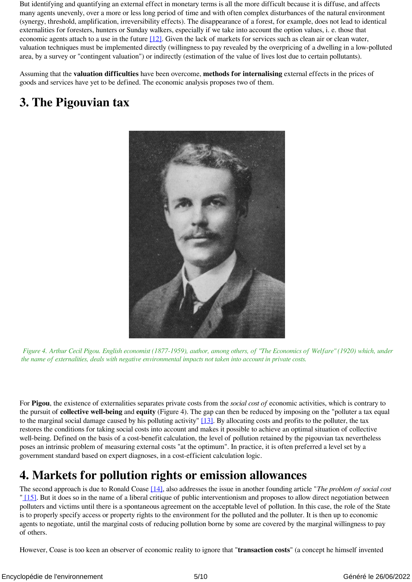<span id="page-4-0"></span>But identifying and quantifying an external effect in monetary terms is all the more difficult because it is diffuse, and affects many agents unevenly, over a more or less long period of time and with often complex disturbances of the natural environment (synergy, threshold, amplification, irreversibility effects). The disappearance of a forest, for example, does not lead to identical externalities for foresters, hunters or Sunday walkers, especially if we take into account the option values, i. e. those that economic agents attach to a use in the future [\[12\].](#page-8-8) Given the lack of markets for services such as clean air or clean water, valuation techniques must be implemented directly (willingness to pay revealed by the overpricing of a dwelling in a low-polluted area, by a survey or "contingent valuation") or indirectly (estimation of the value of lives lost due to certain pollutants).

Assuming that the **valuation difficulties** have been overcome, **methods for internalising** external effects in the prices of goods and services have yet to be defined. The economic analysis proposes two of them.

### **3. The Pigouvian tax**



 *Figure 4. Arthur Cecil Pigou. English economist (1877-1959), author, among others, of "The Economics of Welfare" (1920) which, under the name of externalities, deals with negative environmental impacts not taken into account in private costs.*

<span id="page-4-1"></span>For **Pigou**, the existence of externalities separates private costs from the *social cost of* economic activities, which is contrary to the pursuit of **collective well-being** and **equity** (Figure 4). The gap can then be reduced by imposing on the "polluter a tax equal to the marginal social damage caused by his polluting activity" [\[13\].](#page-8-9) By allocating costs and profits to the polluter, the tax restores the conditions for taking social costs into account and makes it possible to achieve an optimal situation of collective well-being. Defined on the basis of a cost-benefit calculation, the level of pollution retained by the pigouvian tax nevertheless poses an intrinsic problem of measuring external costs "at the optimum". In practice, it is often preferred a level set by a government standard based on expert diagnoses, in a cost-efficient calculation logic.

#### **4. Markets for pollution rights or emission allowances**

<span id="page-4-3"></span><span id="page-4-2"></span>The second approach is due to Ronald Coase [\[14\]](#page-8-10), also addresses the issue in another founding article "*The problem of social cost* " [\[15\].](#page-8-11) But it does so in the name of a liberal critique of public interventionism and proposes to allow direct negotiation between polluters and victims until there is a spontaneous agreement on the acceptable level of pollution. In this case, the role of the State is to properly specify access or property rights to the environment for the polluted and the polluter. It is then up to economic agents to negotiate, until the marginal costs of reducing pollution borne by some are covered by the marginal willingness to pay of others.

<span id="page-4-4"></span>However, Coase is too keen an observer of economic reality to ignore that "**transaction costs**" (a concept he himself invented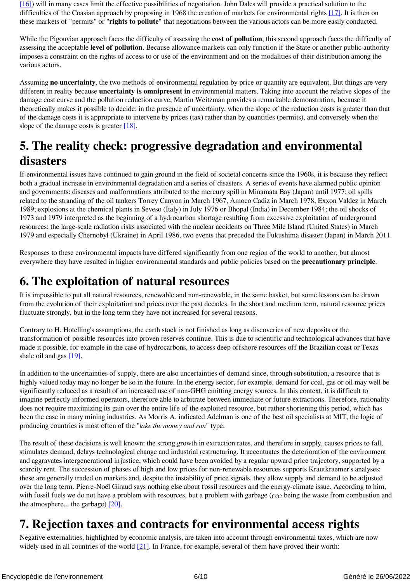<span id="page-5-0"></span>[\[16\]\)](#page-8-12) will in many cases limit the effective possibilities of negotiation. John Dales will provide a practical solution to the difficulties of the Coasian approach by proposing in 1968 the creation of markets for environmental rights [\[17\]](#page-8-13). It is then on these markets of "permits" or "**rights to pollute**" that negotiations between the various actors can be more easily conducted.

While the Pigouvian approach faces the difficulty of assessing the **cost of pollution**, this second approach faces the difficulty of assessing the acceptable **level of pollution**. Because allowance markets can only function if the State or another public authority imposes a constraint on the rights of access to or use of the environment and on the modalities of their distribution among the various actors.

Assuming **no uncertainty**, the two methods of environmental regulation by price or quantity are equivalent. But things are very different in reality because **uncertainty is omnipresent in** environmental matters. Taking into account the relative slopes of the damage cost curve and the pollution reduction curve, Martin Weitzman provides a remarkable demonstration, because it theoretically makes it possible to decide: in the presence of uncertainty, when the slope of the reduction costs is greater than that of the damage costs it is appropriate to intervene by prices (tax) rather than by quantities (permits), and conversely when the slope of the damage costs is greater [\[18\]](#page-8-14).

### <span id="page-5-1"></span>**5. The reality check: progressive degradation and environmental disasters**

If environmental issues have continued to gain ground in the field of societal concerns since the 1960s, it is because they reflect both a gradual increase in environmental degradation and a series of disasters. A series of events have alarmed public opinion and governments: diseases and malformations attributed to the mercury spill in Minamata Bay (Japan) until 1977; oil spills related to the stranding of the oil tankers Torrey Canyon in March 1967, Amoco Cadiz in March 1978, Exxon Valdez in March 1989; explosions at the chemical plants in Seveso (Italy) in July 1976 or Bhopal (India) in December 1984; the oil shocks of 1973 and 1979 interpreted as the beginning of a hydrocarbon shortage resulting from excessive exploitation of underground resources; the large-scale radiation risks associated with the nuclear accidents on Three Mile Island (United States) in March 1979 and especially Chernobyl (Ukraine) in April 1986, two events that preceded the Fukushima disaster (Japan) in March 2011.

Responses to these environmental impacts have differed significantly from one region of the world to another, but almost everywhere they have resulted in higher environmental standards and public policies based on the **precautionary principle**.

#### **6. The exploitation of natural resources**

It is impossible to put all natural resources, renewable and non-renewable, in the same basket, but some lessons can be drawn from the evolution of their exploitation and prices over the past decades. In the short and medium term, natural resource prices fluctuate strongly, but in the long term they have not increased for several reasons.

Contrary to H. Hotelling's assumptions, the earth stock is not finished as long as discoveries of new deposits or the transformation of possible resources into proven reserves continue. This is due to scientific and technological advances that have made it possible, for example in the case of hydrocarbons, to access deep offshore resources off the Brazilian coast or Texas shale oil and gas [\[19\]](#page-8-15).

<span id="page-5-2"></span>In addition to the uncertainties of supply, there are also uncertainties of demand since, through substitution, a resource that is highly valued today may no longer be so in the future. In the energy sector, for example, demand for coal, gas or oil may well be significantly reduced as a result of an increased use of non-GHG emitting energy sources. In this context, it is difficult to imagine perfectly informed operators, therefore able to arbitrate between immediate or future extractions. Therefore, rationality does not require maximizing its gain over the entire life of the exploited resource, but rather shortening this period, which has been the case in many mining industries. As Morris A. indicated Adelman is one of the best oil specialists at MIT, the logic of producing countries is most often of the "*take the money and run*" type.

The result of these decisions is well known: the strong growth in extraction rates, and therefore in supply, causes prices to fall, stimulates demand, delays technological change and industrial restructuring. It accentuates the deterioration of the environment and aggravates intergenerational injustice, which could have been avoided by a regular upward price trajectory, supported by a scarcity rent. The succession of phases of high and low prices for non-renewable resources supports Krautkraemer's analyses: these are generally traded on markets and, despite the instability of price signals, they allow supply and demand to be adjusted over the long term. Pierre-Noël Giraud says nothing else about fossil resources and the energy-climate issue. According to him, with fossil fuels we do not have a problem with resources, but a problem with garbage (co<sub>2</sub> being the waste from combustion and the atmosphere... the garbage) [\[20\]](#page-8-16).

### <span id="page-5-3"></span>**7. Rejection taxes and contracts for environmental access rights**

<span id="page-5-4"></span>Negative externalities, highlighted by economic analysis, are taken into account through environmental taxes, which are now widely used in all countries of the world  $[21]$ . In France, for example, several of them have proved their worth: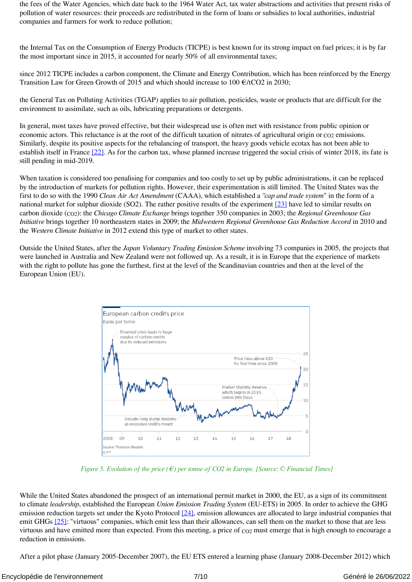the fees of the Water Agencies, which date back to the 1964 Water Act, tax water abstractions and activities that present risks of pollution of water resources: their proceeds are redistributed in the form of loans or subsidies to local authorities, industrial companies and farmers for work to reduce pollution;

the Internal Tax on the Consumption of Energy Products (TICPE) is best known for its strong impact on fuel prices; it is by far the most important since in 2015, it accounted for nearly 50% of all environmental taxes;

since 2012 TICPE includes a carbon component, the Climate and Energy Contribution, which has been reinforced by the Energy Transition Law for Green Growth of 2015 and which should increase to 100  $\epsilon$ /tCO2 in 2030;

the General Tax on Polluting Activities (TGAP) applies to air pollution, pesticides, waste or products that are difficult for the environment to assimilate, such as oils, lubricating preparations or detergents.

<span id="page-6-0"></span>In general, most taxes have proved effective, but their widespread use is often met with resistance from public opinion or economic actors. This reluctance is at the root of the difficult taxation of nitrates of agricultural origin or  $\cos$  emissions. Similarly, despite its positive aspects for the rebalancing of transport, the heavy goods vehicle ecotax has not been able to establish itself in France [\[22\]](#page-8-18). As for the carbon tax, whose planned increase triggered the social crisis of winter 2018, its fate is still pending in mid-2019.

<span id="page-6-1"></span>When taxation is considered too penalising for companies and too costly to set up by public administrations, it can be replaced by the introduction of markets for pollution rights. However, their experimentation is still limited. The United States was the first to do so with the 1990 *Clean Air Act Amendment* (CAAA), which established a *"cap and trade system*" in the form of a national market for sulphur dioxide (SO2). The rather positive results of the experiment [\[23\]](#page-8-19) have led to similar results on carbon dioxide (CO2): the *Chicago Climate Exchange* brings together 350 companies in 2003; the *Regional Greenhouse Gas Initiative* brings together 10 northeastern states in 2009; the *Midwestern Regional Greenhouse Gas Reduction Accord* in 2010 and the *Western Climate Initiative* in 2012 extend this type of market to other states.

Outside the United States, after the *Japan Voluntary Trading Emission Scheme* involving 73 companies in 2005, the projects that were launched in Australia and New Zealand were not followed up. As a result, it is in Europe that the experience of markets with the right to pollute has gone the furthest, first at the level of the Scandinavian countries and then at the level of the European Union (EU).



 *Figure 5. Evolution of the price (€) per tonne of CO2 in Europe. [Source: © Financial Times]*

<span id="page-6-3"></span><span id="page-6-2"></span>While the United States abandoned the prospect of an international permit market in 2000, the EU, as a sign of its commitment to climate *leadership*, established the European *Union Emission Trading System* (EU-ETS) in 2005. In order to achieve the GHG emission reduction targets set under the Kyoto Protocol  $[24]$ , emission allowances are allocated to large industrial companies that emit GHGs [\[25\]](#page-9-1): "virtuous" companies, which emit less than their allowances, can sell them on the market to those that are less virtuous and have emitted more than expected. From this meeting, a price of  $\cos$  must emerge that is high enough to encourage a reduction in emissions.

After a pilot phase (January 2005-December 2007), the EU ETS entered a learning phase (January 2008-December 2012) which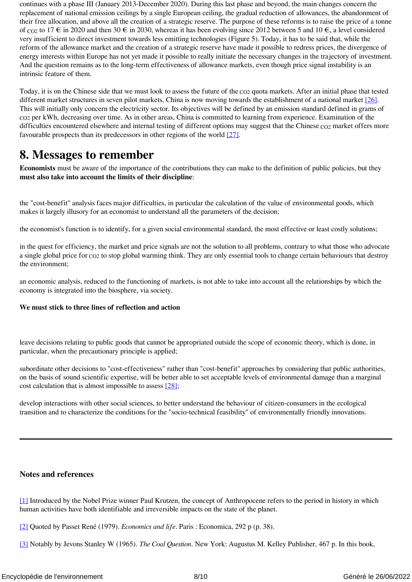continues with a phase III (January 2013-December 2020). During this last phase and beyond, the main changes concern the replacement of national emission ceilings by a single European ceiling, the gradual reduction of allowances, the abandonment of their free allocation, and above all the creation of a strategic reserve. The purpose of these reforms is to raise the price of a tonne of co2 to 17  $\epsilon$  in 2020 and then 30  $\epsilon$  in 2030, whereas it has been evolving since 2012 between 5 and 10  $\epsilon$ , a level considered very insufficient to direct investment towards less emitting technologies (Figure 5). Today, it has to be said that, while the reform of the allowance market and the creation of a strategic reserve have made it possible to redress prices, the divergence of energy interests within Europe has not yet made it possible to really initiate the necessary changes in the trajectory of investment. And the question remains as to the long-term effectiveness of allowance markets, even though price signal instability is an intrinsic feature of them.

<span id="page-7-3"></span>Today, it is on the Chinese side that we must look to assess the future of the co<sub>2</sub> quota markets. After an initial phase that tested different market structures in seven pilot markets, China is now moving towards the establishment of a national market [\[26\]](#page-9-2). This will initially only concern the electricity sector. Its objectives will be defined by an emission standard defined in grams of CO2 per kWh, decreasing over time. As in other areas, China is committed to learning from experience. Examination of the difficulties encountered elsewhere and internal testing of different options may suggest that the Chinese co<sub>2</sub> market offers more favourable prospects than its predecessors in other regions of the world [\[27\]](#page-9-3).

#### <span id="page-7-4"></span>**8. Messages to remember**

**Economists** must be aware of the importance of the contributions they can make to the definition of public policies, but they **must also take into account the limits of their discipline**:

the "cost-benefit" analysis faces major difficulties, in particular the calculation of the value of environmental goods, which makes it largely illusory for an economist to understand all the parameters of the decision;

the economist's function is to identify, for a given social environmental standard, the most effective or least costly solutions;

in the quest for efficiency, the market and price signals are not the solution to all problems, contrary to what those who advocate a single global price for CO2 to stop global warming think. They are only essential tools to change certain behaviours that destroy the environment;

an economic analysis, reduced to the functioning of markets, is not able to take into account all the relationships by which the economy is integrated into the biosphere, via society.

#### **We must stick to three lines of reflection and action**

leave decisions relating to public goods that cannot be appropriated outside the scope of economic theory, which is done, in particular, when the precautionary principle is applied;

<span id="page-7-5"></span>subordinate other decisions to "cost-effectiveness" rather than "cost-benefit" approaches by considering that public authorities, on the basis of sound scientific expertise, will be better able to set acceptable levels of environmental damage than a marginal cost calculation that is almost impossible to assess [\[28\]](#page-9-4);

develop interactions with other social sciences, to better understand the behaviour of citizen-consumers in the ecological transition and to characterize the conditions for the "socio-technical feasibility" of environmentally friendly innovations.

#### **Notes and references**

<span id="page-7-0"></span>[\[1\]](#page-0-0) Introduced by the Nobel Prize winner Paul Krutzen, the concept of Anthropocene refers to the period in history in which human activities have both identifiable and irreversible impacts on the state of the planet.

<span id="page-7-1"></span>[\[2\]](#page-1-0) Quoted by Passet René (1979). *Economics and life*. Paris : Economica, 292 p (p. 38).

<span id="page-7-2"></span>[\[3\]](#page-1-1) Notably by Jevons Stanley W (1965). *The Coal Question*. New York: Augustus M. Kelley Publisher, 467 p. In this book,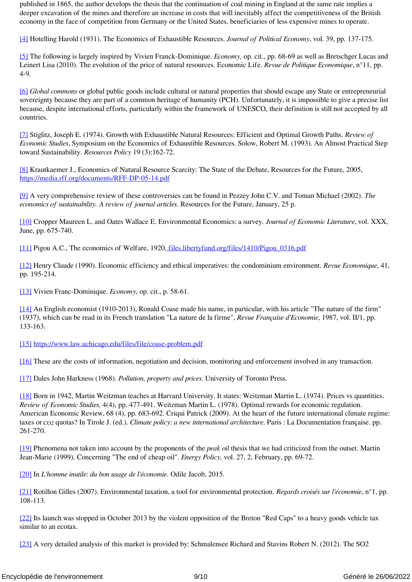published in 1865, the author develops the thesis that the continuation of coal mining in England at the same rate implies a deeper excavation of the mines and therefore an increase in costs that will inevitably affect the competitiveness of the British economy in the face of competition from Germany or the United States, beneficiaries of less expensive mines to operate.

<span id="page-8-0"></span>[\[4\]](#page-1-2) Hotelling Harold (1931). The Economics of Exhaustible Resources. *Journal of Political Economy*, vol. 39, pp. 137-175.

<span id="page-8-1"></span>[\[5\]](#page-1-3) The following is largely inspired by Vivien Franck-Dominique. *Economy,* op. cit., pp. 68-69 as well as Bretschger Lucas and Leinert Lisa (2010). The evolution of the price of natural resources. Economic Life. *Revue de Politique Economique*, n°11, pp. 4-9.

<span id="page-8-2"></span>[\[6\]](#page-2-0) *Global commons* or global public goods include cultural or natural properties that should escape any State or entrepreneurial sovereignty because they are part of a common heritage of humanity (PCH). Unfortunately, it is impossible to give a precise list because, despite international efforts, particularly within the framework of UNESCO, their definition is still not accepted by all countries.

<span id="page-8-3"></span>[\[7\]](#page-3-0) Stiglitz, Joseph E. (1974). Growth with Exhaustible Natural Resources: Efficient and Optimal Growth Paths. *Review of Economic Studies*, Symposium on the Economics of Exhaustible Resources. Solow, Robert M. (1993). An Almost Practical Step toward Sustainability. *Resources Policy* 19 (3):162-72.

<span id="page-8-4"></span>[\[8\]](#page-3-1) Krautkaemer J., Economics of Natural Resource Scarcity: The State of the Debate, Resources for the Future, 2005, <https://media.rff.org/documents/RFF-DP-05-14.pdf>

<span id="page-8-5"></span>[\[9\]](#page-3-2) A very comprehensive review of these controversies can be found in Pezzey John C.V. and Toman Michael (2002). *The economics of sustainability. A review of journal articles*. Resources for the Future, January, 25 p.

<span id="page-8-6"></span>[\[10\]](#page-3-3) Cropper Maureen L. and Oates Wallace E. Environmental Economics: a survey. *Journal of Economic Literature*, vol. XXX, June, pp. 675-740.

<span id="page-8-7"></span>[\[11\]](#page-3-4) Pigou A.C., The economics of Welfare, 1920, [files.libertyfund.org/files/1410/Pigou\\_0316.pdf](https://www.google.com/url?sa=t&rct=j&q=&esrc=s&source=web&cd=3&ved=2ahUKEwjey_Km3fXiAhVvDWMBHV4_DeUQFjACegQIBBAC&url=http%3A%2F%2Ffiles.libertyfund.org%2Ffiles%2F1410%2FPigou_0316.pdf&usg=AOvVaw0OpQtP8_E4H9uu4vsL12NO)

<span id="page-8-8"></span>[\[12\]](#page-4-0) Henry Claude (1990). Economic efficiency and ethical imperatives: the condominium environment. *Revue Economique*, 41, pp. 195-214.

<span id="page-8-9"></span>[\[13\]](#page-4-1) Vivien Franc-Dominique. *Economy*, op. cit., p. 58-61.

<span id="page-8-10"></span>[\[14\]](#page-4-2) An English economist (1910-2013), Ronald Coase made his name, in particular, with his article "The nature of the firm" (1937), which can be read in its French translation "La nature de la firme", *Revue Française d'Economie*, 1987, vol. II/1, pp. 133-163.

<span id="page-8-11"></span>[\[15\]](#page-4-3) <https://www.law.uchicago.edu/files/file/coase-problem.pdf>

<span id="page-8-12"></span>[\[16\]](#page-4-4) These are the costs of information, negotiation and decision, monitoring and enforcement involved in any transaction.

<span id="page-8-13"></span>[\[17\]](#page-5-0) Dales John Harkness (1968). *Pollution, property and prices*. University of Toronto Press.

<span id="page-8-14"></span>[\[18\]](#page-5-1) Born in 1942, Martin Weitzman teaches at Harvard University. It states: Weitzman Martin L. (1974). Prices vs quantities. *Review of Economic Studies,* 4(4), pp. 477-491. Weitzman Martin L. (1978). Optimal rewards for economic regulation. American Economic Review, 68 (4), pp. 683-692. Criqui Patrick (2009). At the heart of the future international climate regime: taxes or CO2 quotas? In Tirole J. (ed.). *Climate policy: a new international architecture*. Paris : La Documentation française. pp. 261-270.

<span id="page-8-15"></span>[\[19\]](#page-5-2) Phenomena not taken into account by the proponents of the *peak oil* thesis that we had criticized from the outset. Martin Jean-Marie (1999). Concerning "The end of cheap oil". *Energy Policy,* vol. 27, 2, February, pp. 69-72.

<span id="page-8-16"></span>[\[20\]](#page-5-3) In *L'homme inutile: du bon usage de l'économie*. Odile Jacob, 2015.

<span id="page-8-17"></span>[\[21\]](#page-5-4) Rotillon Gilles (2007). Environmental taxation, a tool for environmental protection. *Regards croisés sur l'économie*, n°1, pp. 108-113.

<span id="page-8-18"></span>[\[22\]](#page-6-0) Its launch was stopped in October 2013 by the violent opposition of the Breton "Red Caps" to a heavy goods vehicle tax similar to an ecotax.

<span id="page-8-19"></span>[\[23\]](#page-6-1) A very detailed analysis of this market is provided by: Schmalensee Richard and Stavins Robert N. (2012). The SO2